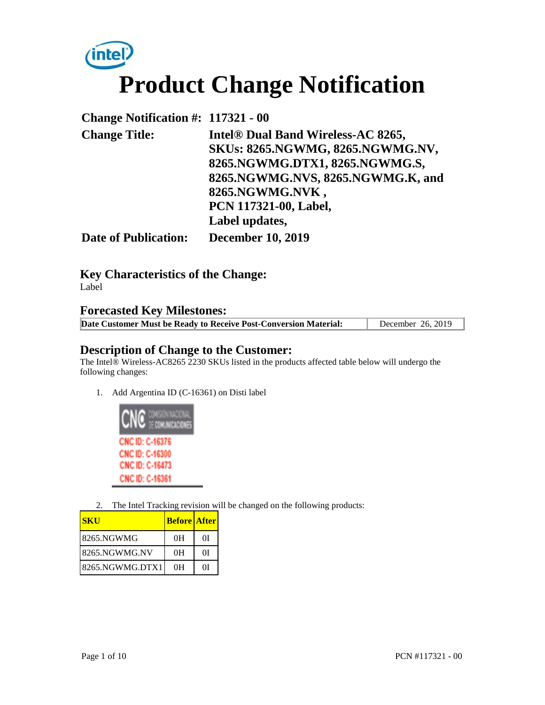

| <b>Change Notification #: 117321 - 00</b> |                                    |
|-------------------------------------------|------------------------------------|
| <b>Change Title:</b>                      | Intel® Dual Band Wireless-AC 8265, |
|                                           | SKUs: 8265.NGWMG, 8265.NGWMG.NV,   |
|                                           | 8265.NGWMG.DTX1, 8265.NGWMG.S,     |
|                                           | 8265.NGWMG.NVS, 8265.NGWMG.K, and  |
|                                           | 8265.NGWMG.NVK,                    |
|                                           | PCN 117321-00, Label,              |
|                                           | Label updates,                     |
| <b>Date of Publication:</b>               | <b>December 10, 2019</b>           |

**Key Characteristics of the Change:**

Label

## **Forecasted Key Milestones:**

| Date Customer Must be Ready to Receive Post-Conversion Material: | December 26, 2019 |
|------------------------------------------------------------------|-------------------|
|------------------------------------------------------------------|-------------------|

## **Description of Change to the Customer:**

The Intel® Wireless-AC8265 2230 SKUs listed in the products affected table below will undergo the following changes:

1. Add Argentina ID (C-16361) on Disti label



2. The Intel Tracking revision will be changed on the following products:

| <b>SKU</b>      | <b>Before After</b> |    |
|-----------------|---------------------|----|
| 8265.NGWMG      | 0H                  | ΩĪ |
| 8265.NGWMG.NV   | 0H                  | ΩĪ |
| 8265.NGWMG.DTX1 | 0H                  | ΩI |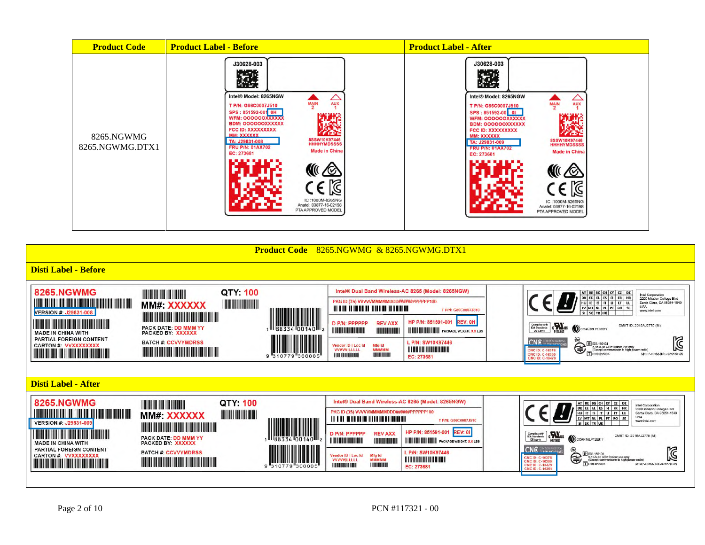| <b>Product Code</b>           | <b>Product Label - Before</b>                                                                                                                                                                                                                                                                                                                                                                           | <b>Product Label - After</b>                                                                                                                                                                                                                                                                                                                                                                                     |
|-------------------------------|---------------------------------------------------------------------------------------------------------------------------------------------------------------------------------------------------------------------------------------------------------------------------------------------------------------------------------------------------------------------------------------------------------|------------------------------------------------------------------------------------------------------------------------------------------------------------------------------------------------------------------------------------------------------------------------------------------------------------------------------------------------------------------------------------------------------------------|
| 8265.NGWMG<br>8265.NGWMG.DTX1 | J30628-003<br>PO 21<br>Intel® Model: 8265NGW<br>△<br><b>AUX</b><br>MAIN<br>T P/N: G86C0007J510<br>SPS: 851592-001 OH<br>WFM: 000000XXXXXX<br>m<br><b>BDM: OOOOOOXXXXXX</b><br>FCC ID: XXXXXXXXX<br>MM: XXXXXX<br>8SSW10K97446<br>HHHHYMDSSSS<br>TA: J29831-008<br><b>FRU P/N: 01AX702</b><br><b>Made in China</b><br>EC: 273681<br>M<br>IC:1000M-8265NG<br>Anatel: 03877-16-02198<br>PTA APPROVED MODEL | J30628-003<br>潑<br>Intel® Model: 8265NGW<br>∠<br>AUX<br>$\frac{MAN}{2}$<br>T P/N: G86C0007J510<br>SPS: 851592-00 01<br><b>WFM: OOOOOOXXXXXX</b><br><b>BDM: OOOOOOXXXXXX</b><br>FCC ID: XXXXXXXXX<br><b>MM: XXXXXX</b><br>8SSW10K97446<br>HHHHYMDSSSS<br>TA: J29831-009<br><b>FRU P/N: 01AX702</b><br><b>Made in China</b><br>EC: 273681<br>1Ò<br>IC:1000M-8265NG<br>Anatel: 03877-16-02198<br>PTA APPROVED MODEL |

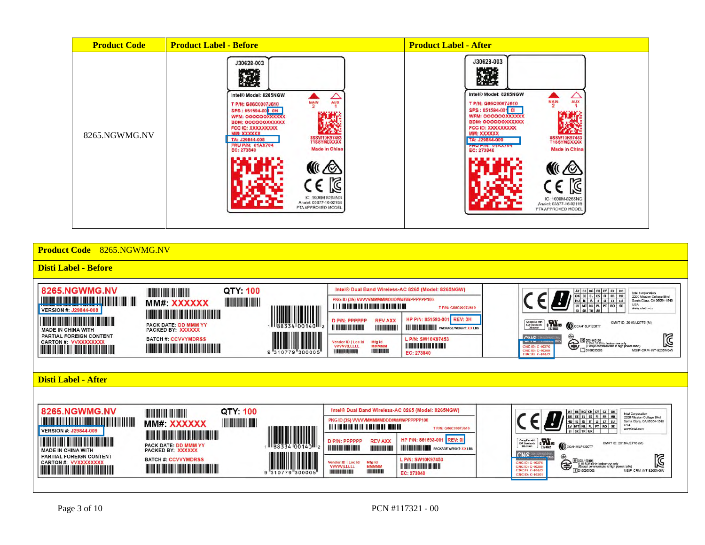| <b>Product Code</b> | <b>Product Label - Before</b>                                                                                                                                                                                                                                                                                                                                                       | <b>Product Label - After</b>                                                                                                                                                                                                                                                                                                                                                        |
|---------------------|-------------------------------------------------------------------------------------------------------------------------------------------------------------------------------------------------------------------------------------------------------------------------------------------------------------------------------------------------------------------------------------|-------------------------------------------------------------------------------------------------------------------------------------------------------------------------------------------------------------------------------------------------------------------------------------------------------------------------------------------------------------------------------------|
| 8265.NGWMG.NV       | J30628-003<br>Intel® Model: 8265NGW<br>∠<br>AUX<br>MAIN<br>T P/N: G86C0007J610<br>SPS: 851594-00 0H<br>WFM: OOOOOOOXXXXXX<br><b>BDM: OOOOOOXXXXXX</b><br>FCC ID: XXXXXXXXX<br>MM: XXXXXXX<br>8SSW10K97453<br>T1SSYMDXXXX<br>TA: J29844-008<br><b>FRU P/N: 01AX704</b><br><b>Made in China</b><br>EC: 273840<br>M<br>IC:1000M-8265NG<br>Analel: 03877-16-02198<br>PTA APPROVED MODEL | J30628-003<br>K.C.<br>Intel® Model: 8265NGW<br>Aux<br>$\frac{100}{2}$<br>T P/N: G86C0007J610<br>SPS: 851594-001 01<br><b>WFM: OOOOOOXXXXXX</b><br>BDM: OOOOOOXXXXXX<br>FCC ID: XXXXXXXXX<br>r an<br>MM: XXXXXX<br>8SSW10K97453<br>T1SSYMDXXXX<br>TA: J29844-009<br><b>FRU FIN: UTAATU4</b><br>Made in China<br>⊠<br>IC:1000M-8265NG<br>Anatel: 03877-16-02198<br>PTA APPROVED MODEL |

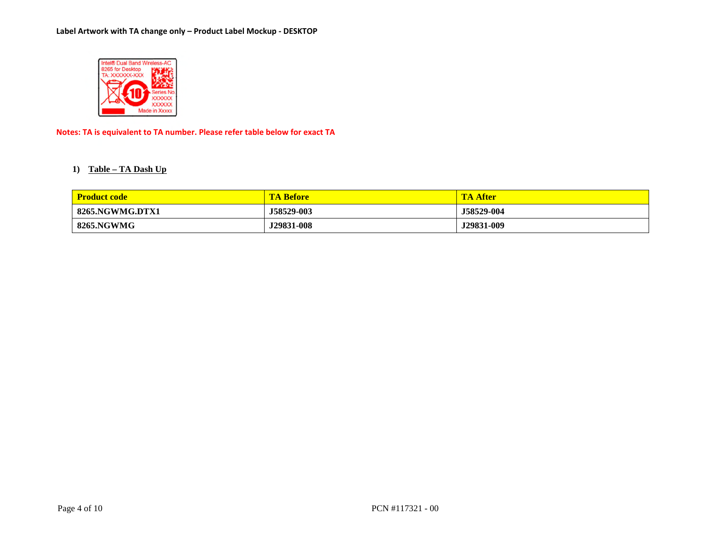

**Notes: TA is equivalent to TA number. Please refer table below for exact TA** 

#### **1) Table – TA Dash Up**

| <b>Product code</b> | <b>TA Before</b> | TA<br><b>After</b> |
|---------------------|------------------|--------------------|
| 8265.NGWMG.DTX1     | J58529-003       | J58529-004         |
| 8265.NGWMG          | J29831-008       | J29831-009         |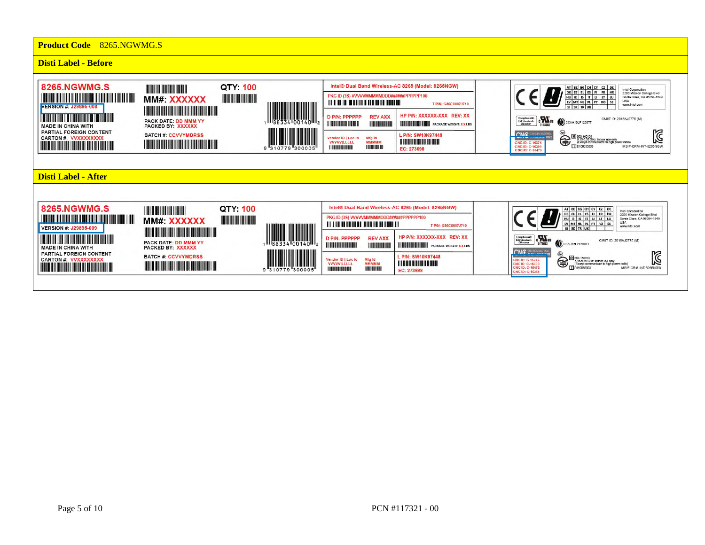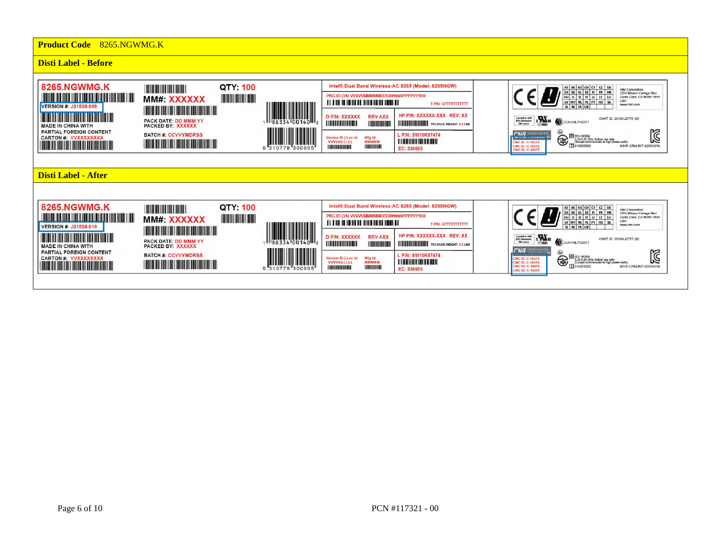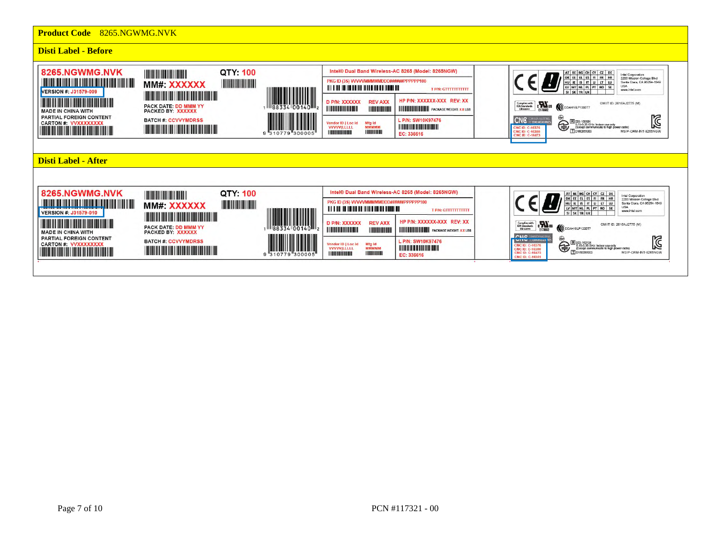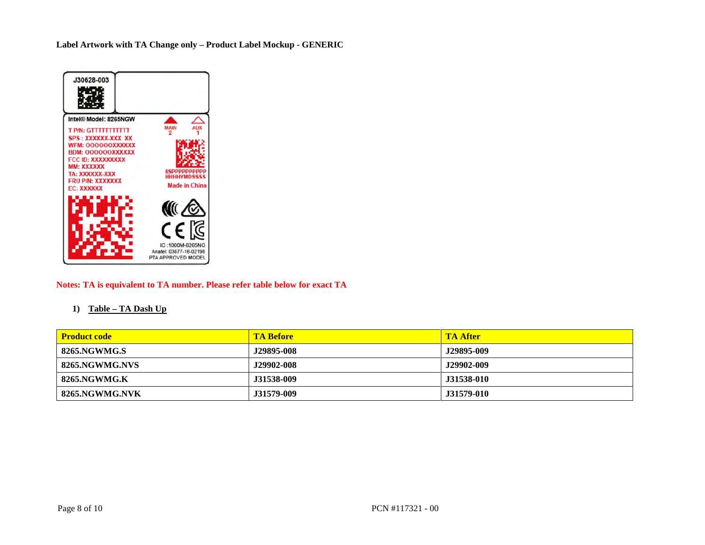**Label Artwork with TA Change only – Product Label Mockup - GENERIC** 



#### **Notes: TA is equivalent to TA number. Please refer table below for exact TA**

#### **1) Table – TA Dash Up**

| <b>Product code</b> | <b>TA Before</b> | <b>TA After</b>   |
|---------------------|------------------|-------------------|
| 8265.NGWMG.S        | J29895-008       | J29895-009        |
| 8265.NGWMG.NVS      | J29902-008       | J29902-009        |
| 8265.NGWMG.K        | J31538-009       | <b>J31538-010</b> |
| 8265.NGWMG.NVK      | J31579-009       | J31579-010        |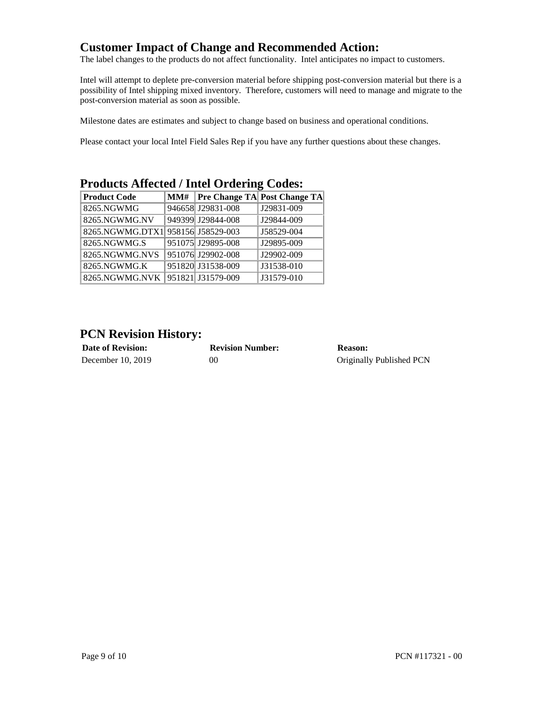## **Customer Impact of Change and Recommended Action:**

The label changes to the products do not affect functionality. Intel anticipates no impact to customers.

Intel will attempt to deplete pre-conversion material before shipping post-conversion material but there is a possibility of Intel shipping mixed inventory. Therefore, customers will need to manage and migrate to the post-conversion material as soon as possible.

Milestone dates are estimates and subject to change based on business and operational conditions.

Please contact your local Intel Field Sales Rep if you have any further questions about these changes.

| <b>Product Code</b>               |  |                   | MM#   Pre Change TA  Post Change TA |
|-----------------------------------|--|-------------------|-------------------------------------|
| 8265.NGWMG                        |  | 946658 J29831-008 | J29831-009                          |
| 8265.NGWMG.NV                     |  | 949399 J29844-008 | J29844-009                          |
| 8265.NGWMG.DTX1 958156 J58529-003 |  |                   | J58529-004                          |
| 8265.NGWMG.S                      |  | 951075 J29895-008 | J29895-009                          |
| 8265.NGWMG.NVS                    |  | 951076 J29902-008 | J29902-009                          |
| 8265.NGWMG.K                      |  | 951820 J31538-009 | J31538-010                          |
| 8265.NGWMG.NVK                    |  | 951821 J31579-009 | J31579-010                          |

# **Products Affected / Intel Ordering Codes:**

## **PCN Revision History:**

| <b>Date of Revision:</b> | <b>Revision Number:</b> | Reason:                  |
|--------------------------|-------------------------|--------------------------|
| December 10, 2019        | 00                      | Originally Published PCN |